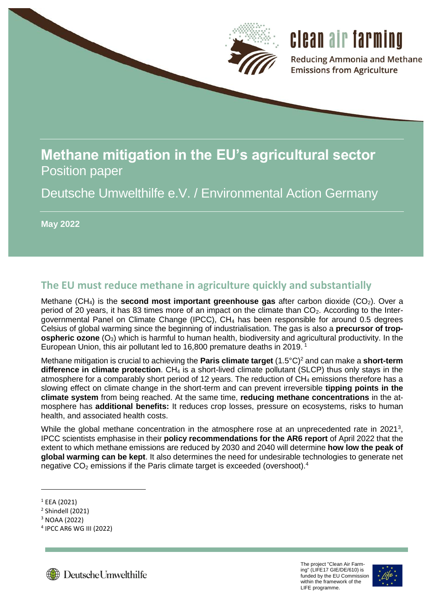

# **Methane mitigation in the EU's agricultural sector** Position paper

Deutsche Umwelthilfe e.V. / Environmental Action Germany

**May 2022**

## **The EU must reduce methane in agriculture quickly and substantially**

Methane (CH<sub>4</sub>) is the **second most important greenhouse gas** after carbon dioxide (CO<sub>2</sub>). Over a period of 20 years, it has 83 times more of an impact on the climate than  $CO<sub>2</sub>$ . According to the Intergovernmental Panel on Climate Change (IPCC), CH<sup>4</sup> has been responsible for around 0.5 degrees Celsius of global warming since the beginning of industrialisation. The gas is also a **precursor of tropospheric ozone** (O<sub>3</sub>) which is harmful to human health, biodiversity and agricultural productivity. In the European Union, this air pollutant led to 16,800 premature deaths in 2019.<sup>1</sup>

Methane mitigation is crucial to achieving the **Paris climate target** (1.5°C)<sup>2</sup> and can make a **short-term difference in climate protection**. CH<sub>4</sub> is a short-lived climate pollutant (SLCP) thus only stays in the atmosphere for a comparably short period of 12 years. The reduction of CH<sup>4</sup> emissions therefore has a slowing effect on climate change in the short-term and can prevent irreversible **tipping points in the climate system** from being reached. At the same time, **reducing methane concentrations** in the atmosphere has **additional benefits:** It reduces crop losses, pressure on ecosystems, risks to human health, and associated health costs.

While the global methane concentration in the atmosphere rose at an unprecedented rate in 2021<sup>3</sup>, IPCC scientists emphasise in their **policy recommendations for the AR6 report** of April 2022 that the extent to which methane emissions are reduced by 2030 and 2040 will determine **how low the peak of global warming can be kept**. It also determines the need for undesirable technologies to generate net negative  $CO<sub>2</sub>$  emissions if the Paris climate target is exceeded (overshoot).<sup>4</sup>

1



<span id="page-0-0"></span>

 $1$  EEA (2021)

<sup>2</sup> Shindell (2021)

<sup>3</sup> NOAA (2022)

<sup>4</sup> IPCC AR6 WG III (2022)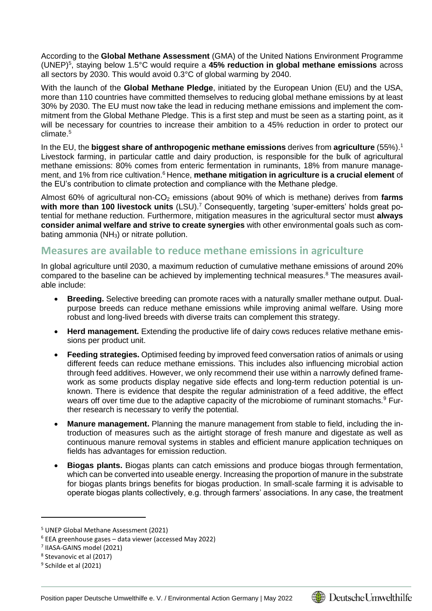<span id="page-1-0"></span>According to the **Global Methane Assessment** (GMA) of the United Nations Environment Programme (UNEP)<sup>5</sup> , staying below 1.5°C would require a **45% reduction in global methane emissions** across all sectors by 2030. This would avoid 0.3°C of global warming by 2040.

With the launch of the **Global Methane Pledge**, initiated by the European Union (EU) and the USA, more than 110 countries have committed themselves to reducing global methane emissions by at least 30% by 2030. The EU must now take the lead in reducing methane emissions and implement the commitment from the Global Methane Pledge. This is a first step and must be seen as a starting point, as it will be necessary for countries to increase their ambition to a 45% reduction in order to protect our climate[.](#page-1-0) 5

In the EU, the **biggest share of anthropogenic methane emissions** derives from **agriculture** (55%)[.](#page-0-0)<sup>1</sup> Livestock farming, in particular cattle and dairy production, is responsible for the bulk of agricultural methane emissions: 80% comes from enteric fermentation in ruminants, 18% from manure management, and 1% from rice cultivation.<sup>6</sup> Hence, methane mitigation in agriculture is a crucial element of the EU's contribution to climate protection and compliance with the Methane pledge.

Almost 60% of agricultural non-CO<sub>2</sub> emissions (about 90% of which is methane) derives from farms with more than 100 livestock units (LSU).<sup>7</sup> Consequently, targeting 'super-emitters' holds great potential for methane reduction. Furthermore, mitigation measures in the agricultural sector must **always consider animal welfare and strive to create synergies** with other environmental goals such as combating ammonia (NH<sub>3</sub>) or nitrate pollution.

### **Measures are available to reduce methane emissions in agriculture**

In global agriculture until 2030, a maximum reduction of cumulative methane emissions of around 20% compared to the baseline can be achieved by implementing technical measures.<sup>8</sup> The measures available include:

- <span id="page-1-1"></span> **Breeding.** Selective breeding can promote races with a naturally smaller methane output. Dualpurpose breeds can reduce methane emissions while improving animal welfare. Using more robust and long-lived breeds with diverse traits can complement this strategy.
- **Herd management.** Extending the productive life of dairy cows reduces relative methane emissions per product unit.
- **Feeding strategies.** Optimised feeding by improved feed conversation ratios of animals or using different feeds can reduce methane emissions. This includes also influencing microbial action through feed additives. However, we only recommend their use within a narrowly defined framework as some products display negative side effects and long-term reduction potential is unknown. There is evidence that despite the regular administration of a feed additive, the effect wears off over time due to the adaptive capacity of the microbiome of ruminant stomachs.<sup>9</sup> Further research is necessary to verify the potential.
- **Manure management.** Planning the manure management from stable to field, including the introduction of measures such as the airtight storage of fresh manure and digestate as well as continuous manure removal systems in stables and efficient manure application techniques on fields has advantages for emission reduction.
- **Biogas plants.** Biogas plants can catch emissions and produce biogas through fermentation, which can be converted into useable energy. Increasing the proportion of manure in the substrate for biogas plants brings benefits for biogas production. In small-scale farming it is advisable to operate biogas plants collectively, e.g. through farmers' associations. In any case, the treatment

1



<sup>5</sup> UNEP Global Methane Assessment (2021)

<sup>6</sup> EEA greenhouse gases – data viewer (accessed May 2022)

<sup>7</sup> IIASA-GAINS model (2021)

<sup>8</sup> Stevanovic et al (2017)

<sup>&</sup>lt;sup>9</sup> Schilde et al (2021)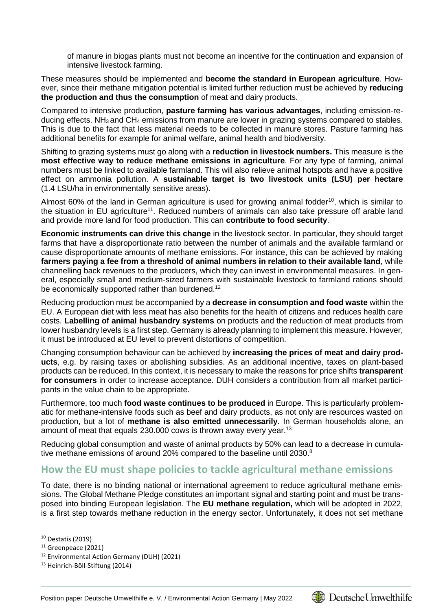of manure in biogas plants must not become an incentive for the continuation and expansion of intensive livestock farming.

These measures should be implemented and **become the standard in European agriculture**. However, since their methane mitigation potential is limited further reduction must be achieved by **reducing the production and thus the consumption** of meat and dairy products.

Compared to intensive production, **pasture farming has various advantages**, including emission-reducing effects. NH<sub>3</sub> and CH<sub>4</sub> emissions from manure are lower in grazing systems compared to stables. This is due to the fact that less material needs to be collected in manure stores. Pasture farming has additional benefits for example for animal welfare, animal health and biodiversity.

Shifting to grazing systems must go along with a **reduction in livestock numbers.** This measure is the **most effective way to reduce methane emissions in agriculture**. For any type of farming, animal numbers must be linked to available farmland. This will also relieve animal hotspots and have a positive effect on ammonia pollution. A **sustainable target is two livestock units (LSU) per hectare** (1.4 LSU/ha in environmentally sensitive areas).

Almost 60% of the land in German agriculture is used for growing animal fodder<sup>10</sup>, which is similar to the situation in EU agriculture<sup>11</sup>. Reduced numbers of animals can also take pressure off arable land and provide more land for food production. This can **contribute to food security**.

**Economic instruments can drive this change** in the livestock sector. In particular, they should target farms that have a disproportionate ratio between the number of animals and the available farmland or cause disproportionate amounts of methane emissions. For instance, this can be achieved by making **farmers paying a fee from a threshold of animal numbers in relation to their available land**, while channelling back revenues to the producers, which they can invest in environmental measures. In general, especially small and medium-sized farmers with sustainable livestock to farmland rations should be economically supported rather than burdened.<sup>12</sup>

Reducing production must be accompanied by a **decrease in consumption and food waste** within the EU. A European diet with less meat has also benefits for the health of citizens and reduces health care costs. **Labelling of animal husbandry systems** on products and the reduction of meat products from lower husbandry levels is a first step. Germany is already planning to implement this measure. However, it must be introduced at EU level to prevent distortions of competition.

Changing consumption behaviour can be achieved by **increasing the prices of meat and dairy products**, e.g. by raising taxes or abolishing subsidies. As an additional incentive, taxes on plant-based products can be reduced. In this context, it is necessary to make the reasons for price shifts **transparent for consumers** in order to increase acceptance. DUH considers a contribution from all market participants in the value chain to be appropriate.

Furthermore, too much **food waste continues to be produced** in Europe. This is particularly problematic for methane-intensive foods such as beef and dairy products, as not only are resources wasted on production, but a lot of **methane is also emitted unnecessarily**. In German households alone, an amount of meat that equals 230.000 cows is thrown away every year.<sup>13</sup>

Reducing global consumption and waste of animal products by 50% can lead to a decrease in cumula-tive methane emissions of around 20% compared to the baseline until 2030[.](#page-1-1) $8$ 

#### **How the EU must shape policies to tackle agricultural methane emissions**

To date, there is no binding national or international agreement to reduce agricultural methane emissions. The Global Methane Pledge constitutes an important signal and starting point and must be transposed into binding European legislation. The **EU methane regulation,** which will be adopted in 2022, is a first step towards methane reduction in the energy sector. Unfortunately, it does not set methane

1



<sup>10</sup> Destatis (2019)

<sup>11</sup> Greenpeace (2021)

<sup>12</sup> Environmental Action Germany (DUH) (2021)

<sup>13</sup> Heinrich-Böll-Stiftung (2014)